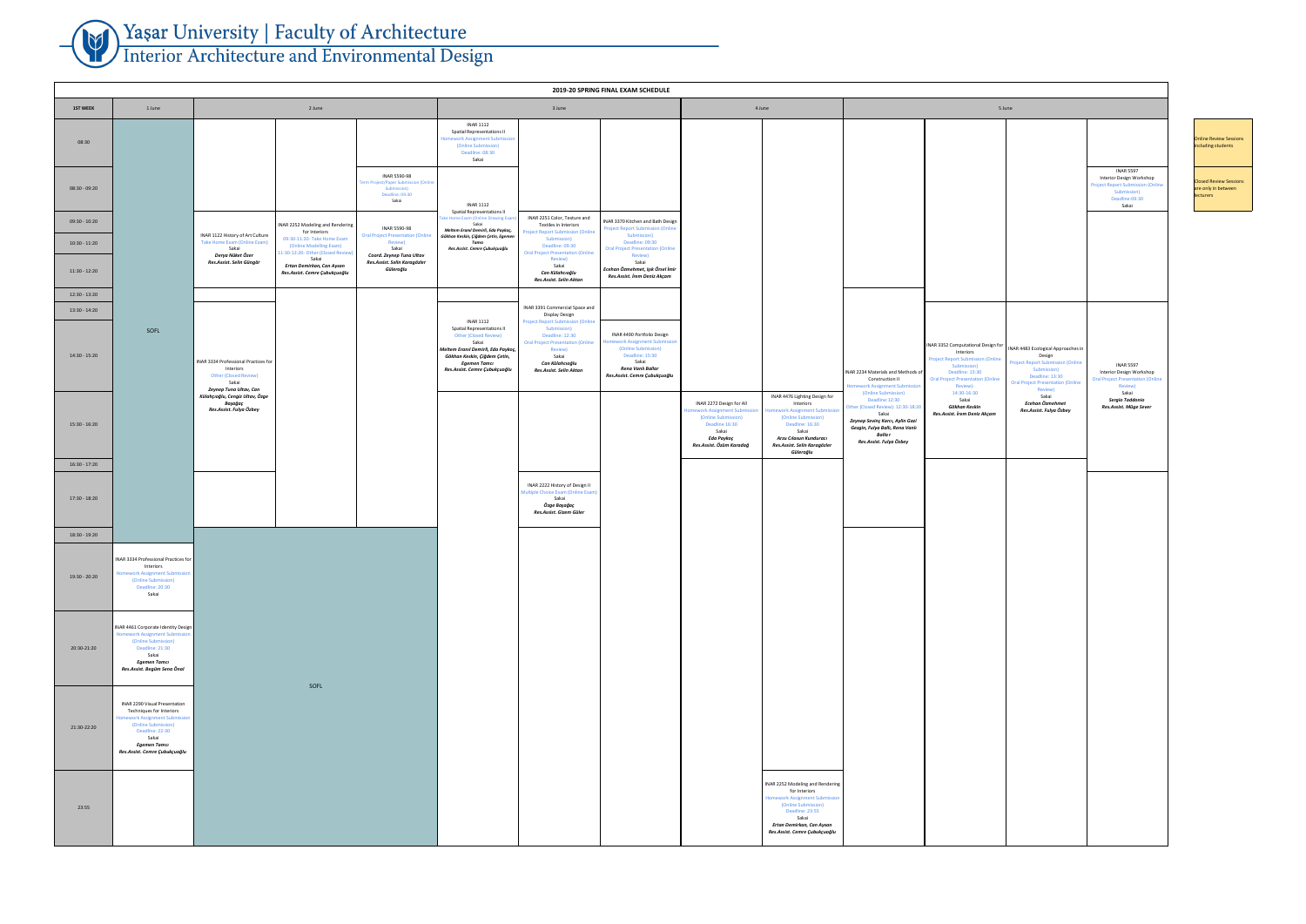| 4 June                |                                                                                                                                                                                                        | 5 June                                                                                                                                                                                                                                                                                      |                                                                                                                                                                                                                                                                |                                                                                                                                                                                                                                          |                                                                                                                                                           |  |  |
|-----------------------|--------------------------------------------------------------------------------------------------------------------------------------------------------------------------------------------------------|---------------------------------------------------------------------------------------------------------------------------------------------------------------------------------------------------------------------------------------------------------------------------------------------|----------------------------------------------------------------------------------------------------------------------------------------------------------------------------------------------------------------------------------------------------------------|------------------------------------------------------------------------------------------------------------------------------------------------------------------------------------------------------------------------------------------|-----------------------------------------------------------------------------------------------------------------------------------------------------------|--|--|
|                       |                                                                                                                                                                                                        |                                                                                                                                                                                                                                                                                             |                                                                                                                                                                                                                                                                |                                                                                                                                                                                                                                          | <b>INAR 5597</b><br>Interior Design Workshop<br><b>Project Report Submission (Online</b><br>Submission)<br>Deadline:09:30<br>Sakai                        |  |  |
| All<br>mission<br>lağ | INAR 4476 Lighting Design for<br>Interiors<br>Homework Assignment Submission<br>(Online Submission)<br>Deadline: 16:30<br>Sakai<br>Arzu Cılasun Kunduracı<br>Res.Assist. Selin Karagözler<br>Güleroğlu | INAR 2234 Materials and Methods of<br>Construction II<br>Homework Assignment Submission<br>(Online Submission)<br>Deadline:12:30<br>Other (Closed Review): 12:30-18:20<br>Sakai<br>Zeynep Sevinç Karcı, Aylin Gazi<br>Gezgin, Fulya Ballı, Rena Vanlı<br>Balla r<br>Res.Assist. Fulya Özbey | INAR 3352 Computational Design for<br>Interiors<br><b>Project Report Submission (Online</b><br>Submission)<br>Deadline: 13:30<br><b>Oral Project Presentation (Online</b><br>Review)-<br>14:30-16:30<br>Sakai<br>Gökhan Keskin<br>Res.Assist. İrem Deniz Akçam | INAR 4483 Ecological Approaches in<br>Design<br><b>Project Report Submission (Online</b><br>Submission)<br>Deadline: 13:30<br><b>Oral Project Presentation (Online</b><br>Review)<br>Sakai<br>Ecehan Özmehmet<br>Res.Assist. Fulya Özbey | <b>INAR 5597</b><br>Interior Design Workshop<br><b>Oral Project Presentation (Online</b><br>Review)<br>Sakai<br>Sergio Taddonio<br>Res.Assist. Müge Sever |  |  |
|                       |                                                                                                                                                                                                        |                                                                                                                                                                                                                                                                                             |                                                                                                                                                                                                                                                                |                                                                                                                                                                                                                                          |                                                                                                                                                           |  |  |
|                       | INAR 2252 Modeling and Rendering<br>for Interiors<br>Homework Assignment Submission<br>(Online Submission)<br>Deadline: 23:55<br>Sakai<br>Ertan Demirkan, Can Aysan<br>Res.Assist. Cemre Çubukçuoğlu   |                                                                                                                                                                                                                                                                                             |                                                                                                                                                                                                                                                                |                                                                                                                                                                                                                                          |                                                                                                                                                           |  |  |

Online Review Sessions including students

Closed Review Sessions are only in between **lecturers** 

## Yaşar University | Faculty of Architecture<br>Interior Architecture and Environmental Design ╼

|                                    |                                                                                                                                                                                                               |                                                                                                                                                                                                                                                                                 | 2019-20 SPRING FINAL EXAM SCHEDULE                                                                                                                                                                                                                                                                                                                                                                                                                                                                                                                                                                           |                                                                                                                                                                                                                                                                                                                                                                 |                                                                                                                                                                                                                                                                                         |
|------------------------------------|---------------------------------------------------------------------------------------------------------------------------------------------------------------------------------------------------------------|---------------------------------------------------------------------------------------------------------------------------------------------------------------------------------------------------------------------------------------------------------------------------------|--------------------------------------------------------------------------------------------------------------------------------------------------------------------------------------------------------------------------------------------------------------------------------------------------------------------------------------------------------------------------------------------------------------------------------------------------------------------------------------------------------------------------------------------------------------------------------------------------------------|-----------------------------------------------------------------------------------------------------------------------------------------------------------------------------------------------------------------------------------------------------------------------------------------------------------------------------------------------------------------|-----------------------------------------------------------------------------------------------------------------------------------------------------------------------------------------------------------------------------------------------------------------------------------------|
| <b>1ST WEEK</b>                    | 1 June                                                                                                                                                                                                        | 2 June                                                                                                                                                                                                                                                                          | 3 June                                                                                                                                                                                                                                                                                                                                                                                                                                                                                                                                                                                                       | 4 June                                                                                                                                                                                                                                                                                                                                                          | 5 June                                                                                                                                                                                                                                                                                  |
| 08:30                              |                                                                                                                                                                                                               |                                                                                                                                                                                                                                                                                 | <b>INAR 1112</b><br><b>Spatial Representations II</b><br><b>Homework Assignment Submission</b><br>(Online Submission)<br>Deadline: 08:30<br>Sakai                                                                                                                                                                                                                                                                                                                                                                                                                                                            |                                                                                                                                                                                                                                                                                                                                                                 |                                                                                                                                                                                                                                                                                         |
| 08:30 - 09:20                      |                                                                                                                                                                                                               | <b>INAR 5590-98</b><br>Term Project/Paper Submission (Online<br>Submission)<br>Deadline: 09:30<br>Sakai                                                                                                                                                                         | <b>INAR 1112</b><br><b>Spatial Representations II</b>                                                                                                                                                                                                                                                                                                                                                                                                                                                                                                                                                        |                                                                                                                                                                                                                                                                                                                                                                 |                                                                                                                                                                                                                                                                                         |
| $09:30 - 10:20$<br>$10:30 - 11:20$ |                                                                                                                                                                                                               | INAR 2252 Modeling and Rendering<br><b>INAR 5590-98</b><br>for Interiors<br>INAR 1122 History of Art Culture<br><b>Oral Project Presentation (Online</b><br>09:30-11:20- Take Home Exam<br>Take Home Exam (Online Exam)<br><b>Review)</b>                                       | INAR 2251 Color, Texture and<br>Take Home Exam (Online Drawing Exam)<br>INAR 3370 Kitchen and Bath Design<br>Sakai<br>Textiles in Interiors<br><b>Project Report Submission (Online</b><br>Meltem Eranıl Demirli, Eda Paykoç,<br><b>Project Report Submission (Online</b><br>Submission)<br>Gökhan Keskin, Çiğdem Çetin, Egemen<br>Submission)<br>Deadline: 09:30<br>Tamcı                                                                                                                                                                                                                                   |                                                                                                                                                                                                                                                                                                                                                                 |                                                                                                                                                                                                                                                                                         |
| $11:30 - 12:20$                    |                                                                                                                                                                                                               | (Online Modelling Exam)<br>Sakai<br>Sakai<br>11:30-12:20- Other (Closed Review)<br>Derya Nüket Özer<br>Coord. Zeynep Tuna Ultav<br>Sakai<br>Res.Assist. Selin Güngör<br>Res.Assist. Selin Karagözler<br>Ertan Demirkan, Can Aysan<br>Güleroğlu<br>Res.Assist. Cemre Çubukçuoğlu | Deadline: 09:30<br><b>Oral Project Presentation (Online</b><br>Res.Assist. Cemre Çubukçuoğlu<br><b>Oral Project Presentation (Online</b><br>Review)<br>Review)<br>Sakai<br>Sakai<br>Ecehan Özmehmet, Işık Örsel İmir<br>Can Külahcıoğlu<br>Res.Assist. İrem Deniz Akçam<br>Res.Assist. Selin Aktan                                                                                                                                                                                                                                                                                                           |                                                                                                                                                                                                                                                                                                                                                                 |                                                                                                                                                                                                                                                                                         |
| 12:30 - 13:20                      |                                                                                                                                                                                                               |                                                                                                                                                                                                                                                                                 | INAR 3391 Commercial Space and                                                                                                                                                                                                                                                                                                                                                                                                                                                                                                                                                                               |                                                                                                                                                                                                                                                                                                                                                                 |                                                                                                                                                                                                                                                                                         |
| 13:30 - 14:20<br>14:30 - 15:20     | SOFL                                                                                                                                                                                                          | INAR 3334 Professional Practices for<br>Interiors<br><b>Other (Closed Review)</b><br>Sakai                                                                                                                                                                                      | Display Design<br><b>INAR 1112</b><br><b>Project Report Submission (Online</b><br><b>Spatial Representations II</b><br>Submission)<br>INAR 4490 Portfolio Design<br><b>Other (Closed Review)</b><br>Deadline: 12:30<br>Homework Assignment Submission<br>Sakai<br><b>Oral Project Presentation (Online</b><br>(Online Submission)<br>Meltem Eranıl Demirli, Eda Paykoç,<br>Review)<br>Deadline: 15:30<br>Sakai<br>Gökhan Keskin, Çiğdem Çetin,<br>Sakai<br>Can Külahcıoğlu<br>Egemen Tamcı<br>Rena Vanlı Ballar<br>Res.Assist. Cemre Çubukçuoğlu<br>Res.Assist. Selin Aktan<br>Res.Assist. Cemre Çubukçuoğlu |                                                                                                                                                                                                                                                                                                                                                                 | INAR 3352 Computational Design for<br>Interiors<br><b>Project Report Submission (Online</b><br>Submission)<br>Deadline: 13:30<br>INAR 2234 Materials and Methods of<br><b>Oral Project Presentation (Online</b><br>Construction II<br><b>Homework Assignment Submission</b><br>Review)- |
| $15:30 - 16:20$                    |                                                                                                                                                                                                               | Zeynep Tuna Ultav, Can<br>Külahçıoğlu, Cengiz Ultav, Özge<br>Başağaç<br>Res.Assist. Fulya Özbey                                                                                                                                                                                 |                                                                                                                                                                                                                                                                                                                                                                                                                                                                                                                                                                                                              | INAR 4476 Lighting Design for<br>INAR 2272 Design for All<br>Interiors<br>Homework Assignment Submission   Homework Assignment Submission<br>(Online Submission)<br>(Online Submission)<br>Deadline 16:30<br>Deadline: 16:30<br>Sakai<br>Sakai<br>Eda Paykoç<br>Arzu Cılasun Kunduracı<br>Res.Assist. Özüm Karadağ<br>Res.Assist. Selin Karagözler<br>Güleroğlu | (Online Submission)<br>14:30-16:30<br>Sakai<br>Deadline: 12:30<br>Gökhan Keskin<br>Other (Closed Review): 12:30-18:20<br>Res.Assist. İrem Deniz Akçam<br>Sakai<br>Zeynep Sevinç Karcı, Aylin Gazi<br>Gezgin, Fulya Ballı, Rena Vanlı<br>Balla r<br>Res.Assist. Fulya Özbey              |
| $16:30 - 17:20$                    |                                                                                                                                                                                                               |                                                                                                                                                                                                                                                                                 |                                                                                                                                                                                                                                                                                                                                                                                                                                                                                                                                                                                                              |                                                                                                                                                                                                                                                                                                                                                                 |                                                                                                                                                                                                                                                                                         |
| 17:30 - 18:20                      |                                                                                                                                                                                                               |                                                                                                                                                                                                                                                                                 | INAR 2222 History of Design II<br>Multiple Choice Exam (Online Exam)<br>Sakai<br>Özge Başağaç<br>Res.Assist. Gizem Güler                                                                                                                                                                                                                                                                                                                                                                                                                                                                                     |                                                                                                                                                                                                                                                                                                                                                                 |                                                                                                                                                                                                                                                                                         |
| 18:30 - 19:20                      |                                                                                                                                                                                                               |                                                                                                                                                                                                                                                                                 |                                                                                                                                                                                                                                                                                                                                                                                                                                                                                                                                                                                                              |                                                                                                                                                                                                                                                                                                                                                                 |                                                                                                                                                                                                                                                                                         |
| 19:30 - 20:20                      | INAR 3334 Professional Practices for<br>Interiors<br>Homework Assignment Submission<br>(Online Submission)<br>Deadline: 20:30<br>Sakai                                                                        |                                                                                                                                                                                                                                                                                 |                                                                                                                                                                                                                                                                                                                                                                                                                                                                                                                                                                                                              |                                                                                                                                                                                                                                                                                                                                                                 |                                                                                                                                                                                                                                                                                         |
| 20:30-21:20                        | INAR 4461 Corporate Identity Design<br><b>Homework Assignment Submission</b><br>(Online Submission)<br>Deadline: 21:30<br>Sakai<br>Egemen Tamcı<br>Res.Assist. Begüm Sena Önal                                |                                                                                                                                                                                                                                                                                 |                                                                                                                                                                                                                                                                                                                                                                                                                                                                                                                                                                                                              |                                                                                                                                                                                                                                                                                                                                                                 |                                                                                                                                                                                                                                                                                         |
| 21:30-22:20                        | <b>INAR 2290 Visual Presentation</b><br>Techniques for Interiors<br><b>Homework Assignment Submission</b><br>(Online Submission)<br>Deadline: 22:30<br>Sakai<br>Egemen Tamcı<br>Res.Assist. Cemre Çubukçuoğlu | SOFL                                                                                                                                                                                                                                                                            |                                                                                                                                                                                                                                                                                                                                                                                                                                                                                                                                                                                                              |                                                                                                                                                                                                                                                                                                                                                                 |                                                                                                                                                                                                                                                                                         |
| 23:55                              |                                                                                                                                                                                                               |                                                                                                                                                                                                                                                                                 |                                                                                                                                                                                                                                                                                                                                                                                                                                                                                                                                                                                                              | INAR 2252 Modeling and Rendering<br>for Interiors<br><b>Homework Assignment Submission</b><br>(Online Submission)<br>Deadline: 23:55<br>Sakai<br>Ertan Demirkan, Can Aysan<br>Res.Assist. Cemre Çubukçuoğlu                                                                                                                                                     |                                                                                                                                                                                                                                                                                         |